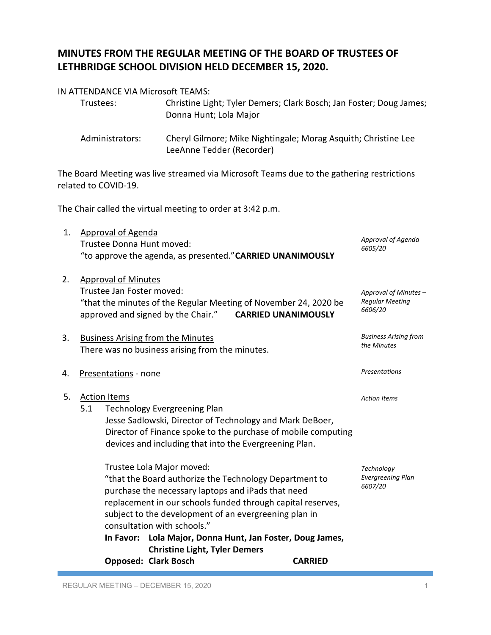## **MINUTES FROM THE REGULAR MEETING OF THE BOARD OF TRUSTEES OF LETHBRIDGE SCHOOL DIVISION HELD DECEMBER 15, 2020.**

## IN ATTENDANCE VIA Microsoft TEAMS:

| Trustees:       | Christine Light; Tyler Demers; Clark Bosch; Jan Foster; Doug James;<br>Donna Hunt; Lola Major |
|-----------------|-----------------------------------------------------------------------------------------------|
| Administrators: | Cheryl Gilmore; Mike Nightingale; Morag Asquith; Christine Lee<br>LeeAnne Tedder (Recorder)   |

The Board Meeting was live streamed via Microsoft Teams due to the gathering restrictions related to COVID-19.

The Chair called the virtual meeting to order at 3:42 p.m.

| 1. Approval of Agenda                                      |                               |
|------------------------------------------------------------|-------------------------------|
| Trustee Donna Hunt moved:                                  | Approval of Agenda<br>6605/20 |
| "to approve the agenda, as presented." CARRIED UNANIMOUSLY |                               |

| <b>Approval of Minutes</b>                                       |                            |                       |
|------------------------------------------------------------------|----------------------------|-----------------------|
| Trustee Jan Foster moved:                                        |                            | Approval of Minutes - |
| "that the minutes of the Regular Meeting of November 24, 2020 be | <b>Regular Meeting</b>     |                       |
| approved and signed by the Chair."                               | <b>CARRIED UNANIMOUSLY</b> | 6606/20               |
|                                                                  |                            |                       |

| 3. | <b>Business Arising from the Minutes</b>        |  |  |
|----|-------------------------------------------------|--|--|
|    | There was no business arising from the minutes. |  |  |

4. Presentations - none

| 5. | <b>Action Items</b> | <b>Action Items</b>                                           |                   |
|----|---------------------|---------------------------------------------------------------|-------------------|
|    | 5.1                 | <b>Technology Evergreening Plan</b>                           |                   |
|    |                     | Jesse Sadlowski, Director of Technology and Mark DeBoer,      |                   |
|    |                     | Director of Finance spoke to the purchase of mobile computing |                   |
|    |                     | devices and including that into the Evergreening Plan.        |                   |
|    |                     | Trustee Lola Major moved:                                     | Technology        |
|    |                     | "that the Board authorize the Technology Department to        | Evergreening Plan |
|    |                     | purchase the necessary laptops and iPads that need            | 6607/20           |
|    |                     | replacement in our schools funded through capital reserves,   |                   |
|    |                     | subject to the development of an evergreening plan in         |                   |
|    |                     | consultation with schools."                                   |                   |
|    |                     |                                                               |                   |
|    |                     | In Favor: Lola Major, Donna Hunt, Jan Foster, Doug James,     |                   |
|    |                     | <b>Christine Light, Tyler Demers</b>                          |                   |

**Opposed: Clark Bosch CARRIED** 

*Business Arising from the Minutes*

*Presentations*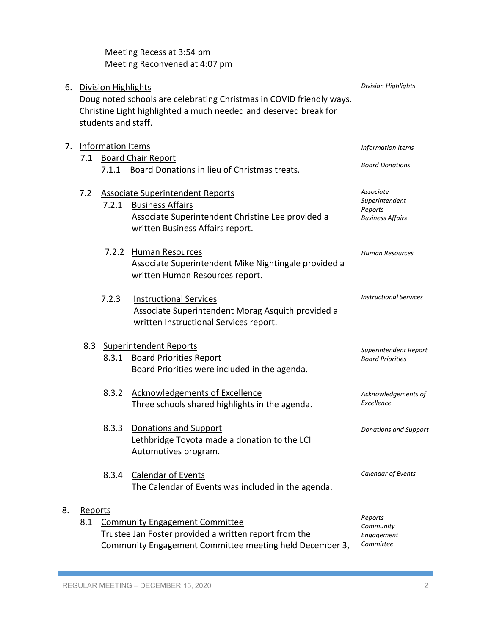|    |                                                                                                                                                                                           |                            | Meeting Recess at 3:54 pm<br>Meeting Reconvened at 4:07 pm                                                                                                  |                                                                   |
|----|-------------------------------------------------------------------------------------------------------------------------------------------------------------------------------------------|----------------------------|-------------------------------------------------------------------------------------------------------------------------------------------------------------|-------------------------------------------------------------------|
|    | 6. Division Highlights<br>Doug noted schools are celebrating Christmas in COVID friendly ways.<br>Christine Light highlighted a much needed and deserved break for<br>students and staff. |                            |                                                                                                                                                             | <b>Division Highlights</b>                                        |
| 7. |                                                                                                                                                                                           | <b>Information Items</b>   |                                                                                                                                                             | Information Items                                                 |
|    | 7.1                                                                                                                                                                                       |                            | <b>Board Chair Report</b><br>7.1.1 Board Donations in lieu of Christmas treats.                                                                             | <b>Board Donations</b>                                            |
|    | 7.2                                                                                                                                                                                       | 7.2.1                      | <b>Associate Superintendent Reports</b><br><b>Business Affairs</b><br>Associate Superintendent Christine Lee provided a<br>written Business Affairs report. | Associate<br>Superintendent<br>Reports<br><b>Business Affairs</b> |
|    |                                                                                                                                                                                           | 7.2.2                      | Human Resources<br>Associate Superintendent Mike Nightingale provided a<br>written Human Resources report.                                                  | <b>Human Resources</b>                                            |
|    |                                                                                                                                                                                           | 7.2.3                      | <b>Instructional Services</b><br>Associate Superintendent Morag Asquith provided a<br>written Instructional Services report.                                | <b>Instructional Services</b>                                     |
|    |                                                                                                                                                                                           | 8.3 Superintendent Reports |                                                                                                                                                             | Superintendent Report                                             |
|    |                                                                                                                                                                                           | 8.3.1                      | <b>Board Priorities Report</b><br>Board Priorities were included in the agenda.                                                                             | <b>Board Priorities</b>                                           |
|    |                                                                                                                                                                                           | 8.3.2                      | Acknowledgements of Excellence<br>Three schools shared highlights in the agenda.                                                                            | Acknowledgements of<br>Excellence                                 |
|    |                                                                                                                                                                                           | 8.3.3                      | <b>Donations and Support</b><br>Lethbridge Toyota made a donation to the LCI<br>Automotives program.                                                        | <b>Donations and Support</b>                                      |
|    |                                                                                                                                                                                           | 8.3.4                      | <b>Calendar of Events</b><br>The Calendar of Events was included in the agenda.                                                                             | Calendar of Events                                                |
| 8. | Reports                                                                                                                                                                                   |                            |                                                                                                                                                             | Reports                                                           |
|    | 8.1                                                                                                                                                                                       |                            | <b>Community Engagement Committee</b><br>Trustee Jan Foster provided a written report from the<br>Community Engagement Committee meeting held December 3,   | Community<br>Engagement<br>Committee                              |